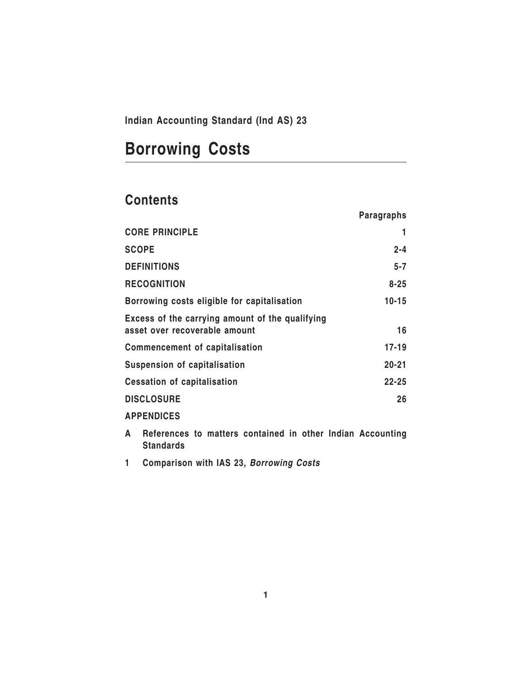**Indian Accounting Standard (Ind AS) 23**

# **Borrowing Costs**

# **Contents**

|                                                                                  | <b>Paragraphs</b> |
|----------------------------------------------------------------------------------|-------------------|
| <b>CORE PRINCIPLE</b>                                                            | 1                 |
| <b>SCOPE</b>                                                                     | $2 - 4$           |
| <b>DEFINITIONS</b>                                                               | $5 - 7$           |
| <b>RECOGNITION</b>                                                               | $8 - 25$          |
| Borrowing costs eligible for capitalisation                                      | $10 - 15$         |
| Excess of the carrying amount of the qualifying<br>asset over recoverable amount | 16                |
| <b>Commencement of capitalisation</b>                                            | $17 - 19$         |
| <b>Suspension of capitalisation</b>                                              | $20 - 21$         |
| <b>Cessation of capitalisation</b>                                               | $22 - 25$         |
| <b>DISCLOSURE</b>                                                                | 26                |
| <b>APPENDICES</b>                                                                |                   |

- **A References to matters contained in other Indian Accounting Standards**
- **1 Comparison with IAS 23, Borrowing Costs**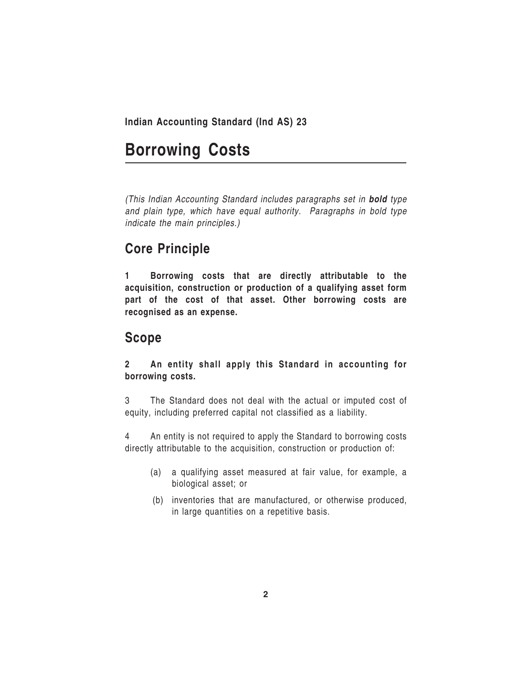**Indian Accounting Standard (Ind AS) 23**

# **Borrowing Costs**

(This Indian Accounting Standard includes paragraphs set in **bold** type and plain type, which have equal authority. Paragraphs in bold type indicate the main principles.)

## **Core Principle**

**1 Borrowing costs that are directly attributable to the acquisition, construction or production of a qualifying asset form part of the cost of that asset. Other borrowing costs are recognised as an expense.**

### **Scope**

**2 An entity shall apply this Standard in accounting for borrowing costs.**

3 The Standard does not deal with the actual or imputed cost of equity, including preferred capital not classified as a liability.

4 An entity is not required to apply the Standard to borrowing costs directly attributable to the acquisition, construction or production of:

- (a) a qualifying asset measured at fair value, for example, a biological asset; or
- (b) inventories that are manufactured, or otherwise produced, in large quantities on a repetitive basis.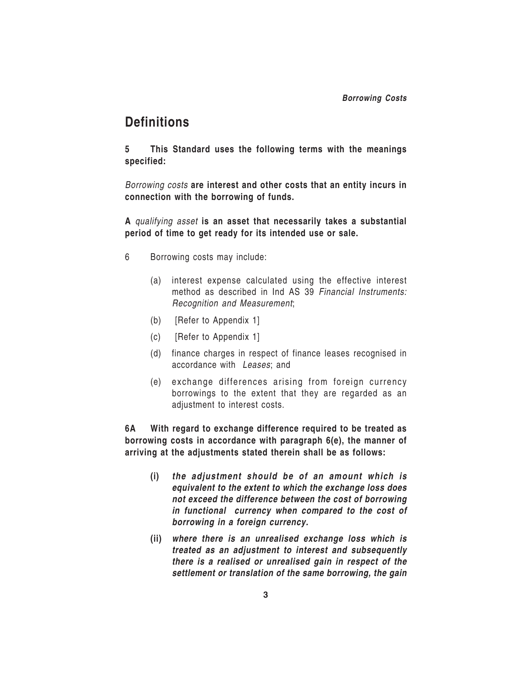### **Definitions**

**5 This Standard uses the following terms with the meanings specified:**

Borrowing costs **are interest and other costs that an entity incurs in connection with the borrowing of funds.**

**A** qualifying asset **is an asset that necessarily takes a substantial period of time to get ready for its intended use or sale.**

- 6 Borrowing costs may include:
	- (a) interest expense calculated using the effective interest method as described in Ind AS 39 Financial Instruments: Recognition and Measurement;
	- (b) [Refer to Appendix 1]
	- (c) [Refer to Appendix 1]
	- (d) finance charges in respect of finance leases recognised in accordance with Leases; and
	- (e) exchange differences arising from foreign currency borrowings to the extent that they are regarded as an adjustment to interest costs.

**6A With regard to exchange difference required to be treated as borrowing costs in accordance with paragraph 6(e), the manner of arriving at the adjustments stated therein shall be as follows:**

- **(i) the adjustment should be of an amount which is equivalent to the extent to which the exchange loss does not exceed the difference between the cost of borrowing in functional currency when compared to the cost of borrowing in a foreign currency.**
- **(ii) where there is an unrealised exchange loss which is treated as an adjustment to interest and subsequently there is a realised or unrealised gain in respect of the settlement or translation of the same borrowing, the gain**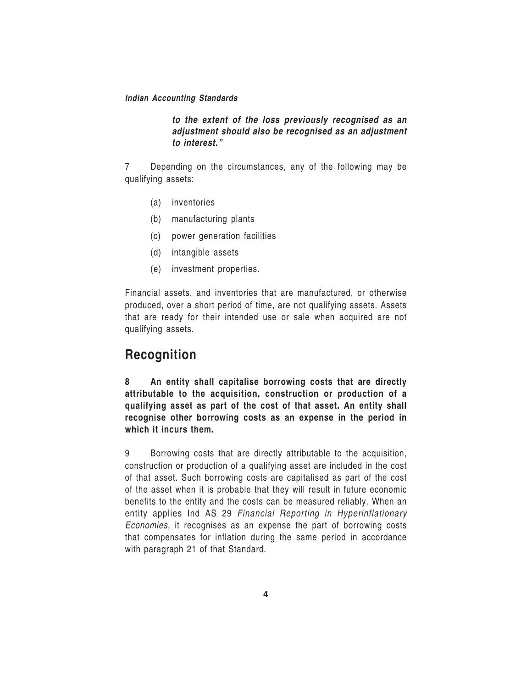**to the extent of the loss previously recognised as an adjustment should also be recognised as an adjustment to interest."**

7 Depending on the circumstances, any of the following may be qualifying assets:

- (a) inventories
- (b) manufacturing plants
- (c) power generation facilities
- (d) intangible assets
- (e) investment properties.

Financial assets, and inventories that are manufactured, or otherwise produced, over a short period of time, are not qualifying assets. Assets that are ready for their intended use or sale when acquired are not qualifying assets.

### **Recognition**

**8 An entity shall capitalise borrowing costs that are directly attributable to the acquisition, construction or production of a qualifying asset as part of the cost of that asset. An entity shall recognise other borrowing costs as an expense in the period in which it incurs them.**

9 Borrowing costs that are directly attributable to the acquisition, construction or production of a qualifying asset are included in the cost of that asset. Such borrowing costs are capitalised as part of the cost of the asset when it is probable that they will result in future economic benefits to the entity and the costs can be measured reliably. When an entity applies Ind AS 29 Financial Reporting in Hyperinflationary Economies, it recognises as an expense the part of borrowing costs that compensates for inflation during the same period in accordance with paragraph 21 of that Standard.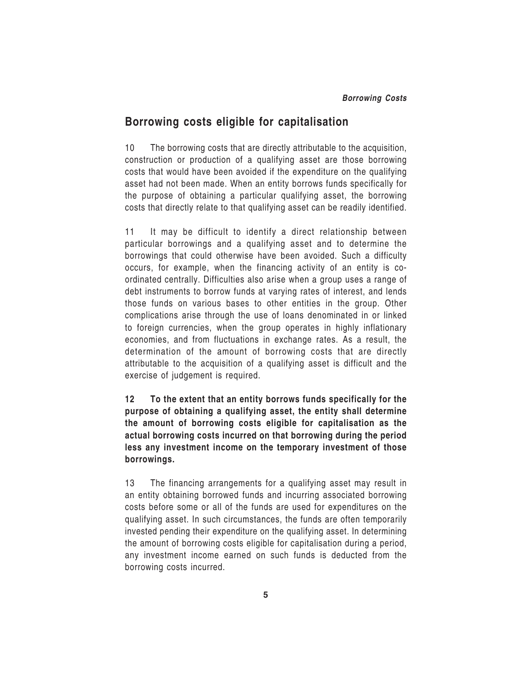#### **Borrowing costs eligible for capitalisation**

10 The borrowing costs that are directly attributable to the acquisition, construction or production of a qualifying asset are those borrowing costs that would have been avoided if the expenditure on the qualifying asset had not been made. When an entity borrows funds specifically for the purpose of obtaining a particular qualifying asset, the borrowing costs that directly relate to that qualifying asset can be readily identified.

11 It may be difficult to identify a direct relationship between particular borrowings and a qualifying asset and to determine the borrowings that could otherwise have been avoided. Such a difficulty occurs, for example, when the financing activity of an entity is coordinated centrally. Difficulties also arise when a group uses a range of debt instruments to borrow funds at varying rates of interest, and lends those funds on various bases to other entities in the group. Other complications arise through the use of loans denominated in or linked to foreign currencies, when the group operates in highly inflationary economies, and from fluctuations in exchange rates. As a result, the determination of the amount of borrowing costs that are directly attributable to the acquisition of a qualifying asset is difficult and the exercise of judgement is required.

**12 To the extent that an entity borrows funds specifically for the purpose of obtaining a qualifying asset, the entity shall determine the amount of borrowing costs eligible for capitalisation as the actual borrowing costs incurred on that borrowing during the period less any investment income on the temporary investment of those borrowings.**

13 The financing arrangements for a qualifying asset may result in an entity obtaining borrowed funds and incurring associated borrowing costs before some or all of the funds are used for expenditures on the qualifying asset. In such circumstances, the funds are often temporarily invested pending their expenditure on the qualifying asset. In determining the amount of borrowing costs eligible for capitalisation during a period, any investment income earned on such funds is deducted from the borrowing costs incurred.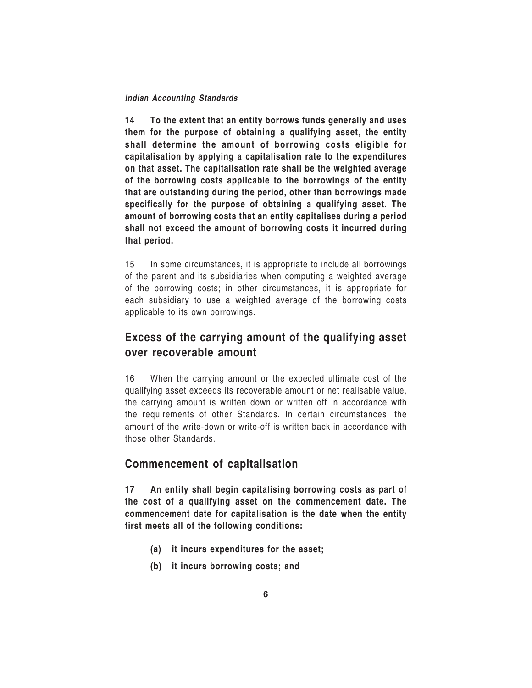**14 To the extent that an entity borrows funds generally and uses them for the purpose of obtaining a qualifying asset, the entity shall determine the amount of borrowing costs eligible for capitalisation by applying a capitalisation rate to the expenditures on that asset. The capitalisation rate shall be the weighted average of the borrowing costs applicable to the borrowings of the entity that are outstanding during the period, other than borrowings made specifically for the purpose of obtaining a qualifying asset. The amount of borrowing costs that an entity capitalises during a period shall not exceed the amount of borrowing costs it incurred during that period.**

15 In some circumstances, it is appropriate to include all borrowings of the parent and its subsidiaries when computing a weighted average of the borrowing costs; in other circumstances, it is appropriate for each subsidiary to use a weighted average of the borrowing costs applicable to its own borrowings.

### **Excess of the carrying amount of the qualifying asset over recoverable amount**

16 When the carrying amount or the expected ultimate cost of the qualifying asset exceeds its recoverable amount or net realisable value, the carrying amount is written down or written off in accordance with the requirements of other Standards. In certain circumstances, the amount of the write-down or write-off is written back in accordance with those other Standards.

### **Commencement of capitalisation**

**17 An entity shall begin capitalising borrowing costs as part of the cost of a qualifying asset on the commencement date. The commencement date for capitalisation is the date when the entity first meets all of the following conditions:**

- **(a) it incurs expenditures for the asset;**
- **(b) it incurs borrowing costs; and**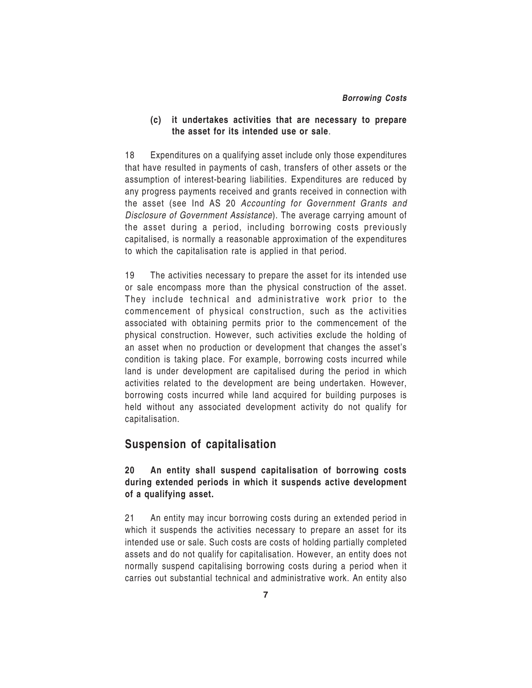#### **(c) it undertakes activities that are necessary to prepare the asset for its intended use or sale**.

18 Expenditures on a qualifying asset include only those expenditures that have resulted in payments of cash, transfers of other assets or the assumption of interest-bearing liabilities. Expenditures are reduced by any progress payments received and grants received in connection with the asset (see Ind AS 20 Accounting for Government Grants and Disclosure of Government Assistance). The average carrying amount of the asset during a period, including borrowing costs previously capitalised, is normally a reasonable approximation of the expenditures to which the capitalisation rate is applied in that period.

19 The activities necessary to prepare the asset for its intended use or sale encompass more than the physical construction of the asset. They include technical and administrative work prior to the commencement of physical construction, such as the activities associated with obtaining permits prior to the commencement of the physical construction. However, such activities exclude the holding of an asset when no production or development that changes the asset's condition is taking place. For example, borrowing costs incurred while land is under development are capitalised during the period in which activities related to the development are being undertaken. However, borrowing costs incurred while land acquired for building purposes is held without any associated development activity do not qualify for capitalisation.

### **Suspension of capitalisation**

**20 An entity shall suspend capitalisation of borrowing costs during extended periods in which it suspends active development of a qualifying asset.**

21 An entity may incur borrowing costs during an extended period in which it suspends the activities necessary to prepare an asset for its intended use or sale. Such costs are costs of holding partially completed assets and do not qualify for capitalisation. However, an entity does not normally suspend capitalising borrowing costs during a period when it carries out substantial technical and administrative work. An entity also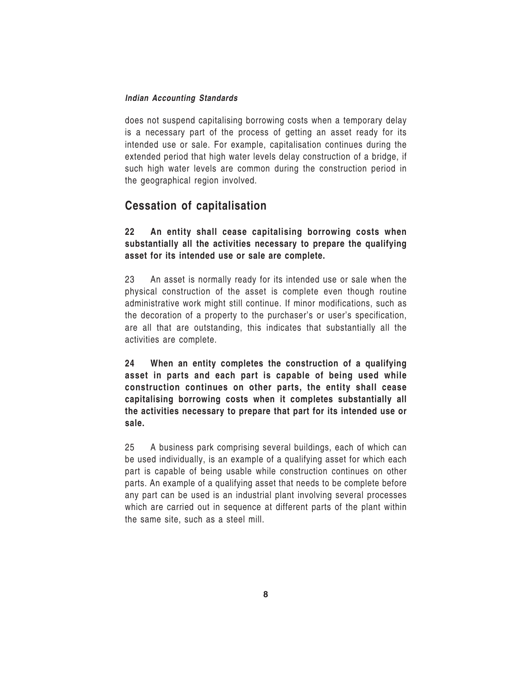does not suspend capitalising borrowing costs when a temporary delay is a necessary part of the process of getting an asset ready for its intended use or sale. For example, capitalisation continues during the extended period that high water levels delay construction of a bridge, if such high water levels are common during the construction period in the geographical region involved.

### **Cessation of capitalisation**

#### **22 An entity shall cease capitalising borrowing costs when substantially all the activities necessary to prepare the qualifying asset for its intended use or sale are complete.**

23 An asset is normally ready for its intended use or sale when the physical construction of the asset is complete even though routine administrative work might still continue. If minor modifications, such as the decoration of a property to the purchaser's or user's specification, are all that are outstanding, this indicates that substantially all the activities are complete.

**24 When an entity completes the construction of a qualifying asset in parts and each part is capable of being used while construction continues on other parts, the entity shall cease capitalising borrowing costs when it completes substantially all the activities necessary to prepare that part for its intended use or sale.**

25 A business park comprising several buildings, each of which can be used individually, is an example of a qualifying asset for which each part is capable of being usable while construction continues on other parts. An example of a qualifying asset that needs to be complete before any part can be used is an industrial plant involving several processes which are carried out in sequence at different parts of the plant within the same site, such as a steel mill.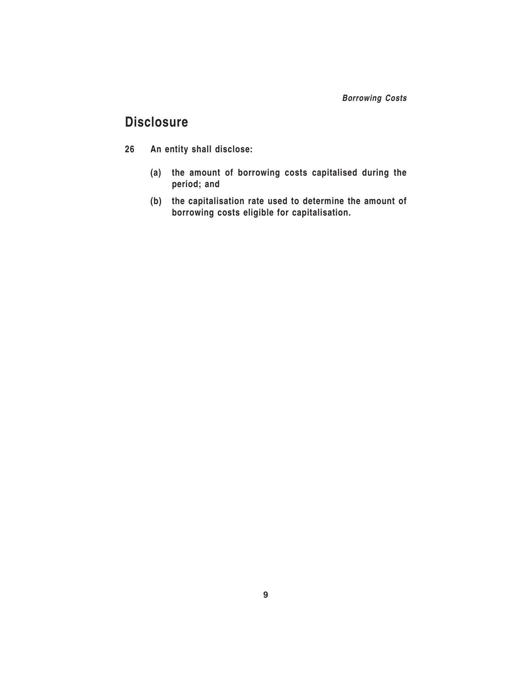**Borrowing Costs**

# **Disclosure**

- **26 An entity shall disclose:**
	- **(a) the amount of borrowing costs capitalised during the period; and**
	- **(b) the capitalisation rate used to determine the amount of borrowing costs eligible for capitalisation.**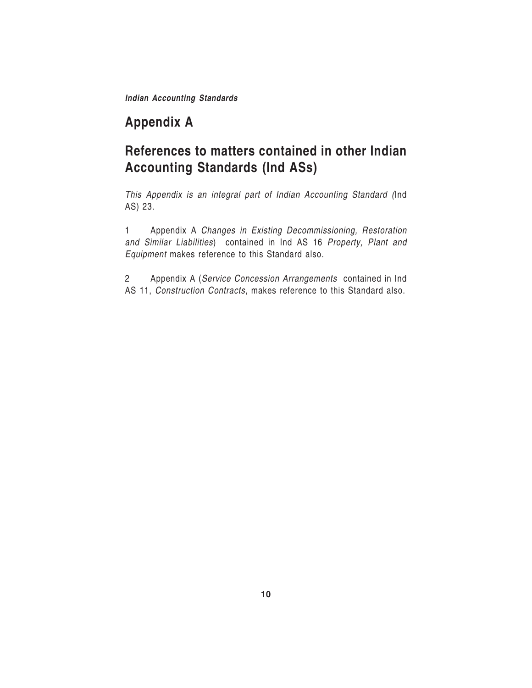## **Appendix A**

# **References to matters contained in other Indian Accounting Standards (Ind ASs)**

This Appendix is an integral part of Indian Accounting Standard (Ind AS) 23.

1 Appendix A Changes in Existing Decommissioning, Restoration and Similar Liabilities) contained in Ind AS 16 Property, Plant and Equipment makes reference to this Standard also.

2 Appendix A (Service Concession Arrangements contained in Ind AS 11, Construction Contracts, makes reference to this Standard also.